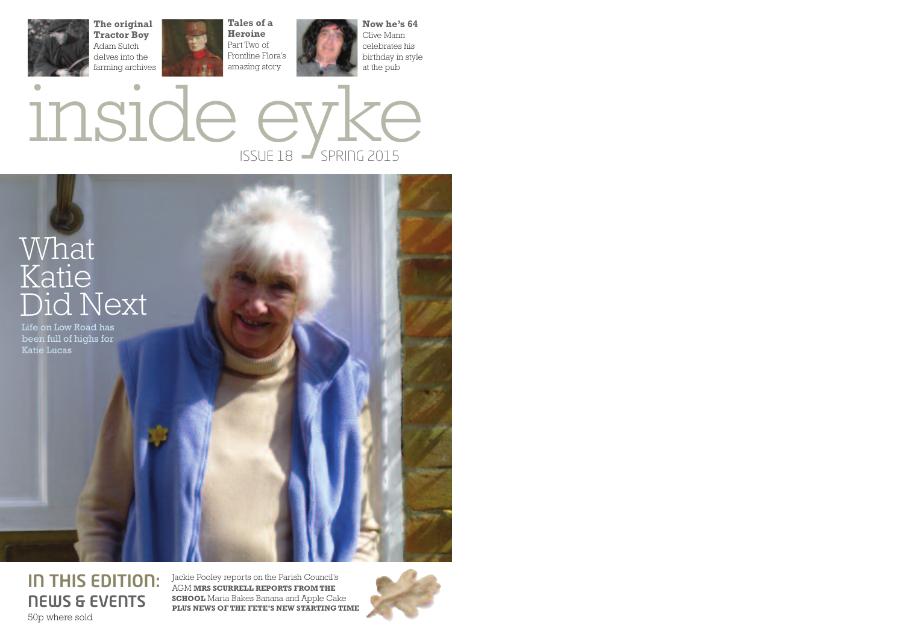





**IN THIS EDITION: NEWS & EVENTS** 50p where sold

Jackie Pooley reports on the Parish Council's AGM **MRS SCURRELL REPORTS FROM THE SCHOOL** Maria Bakes Banana and Apple Cake **PLUS NEWS OF THE FETE'S NEW STARTING TIME**

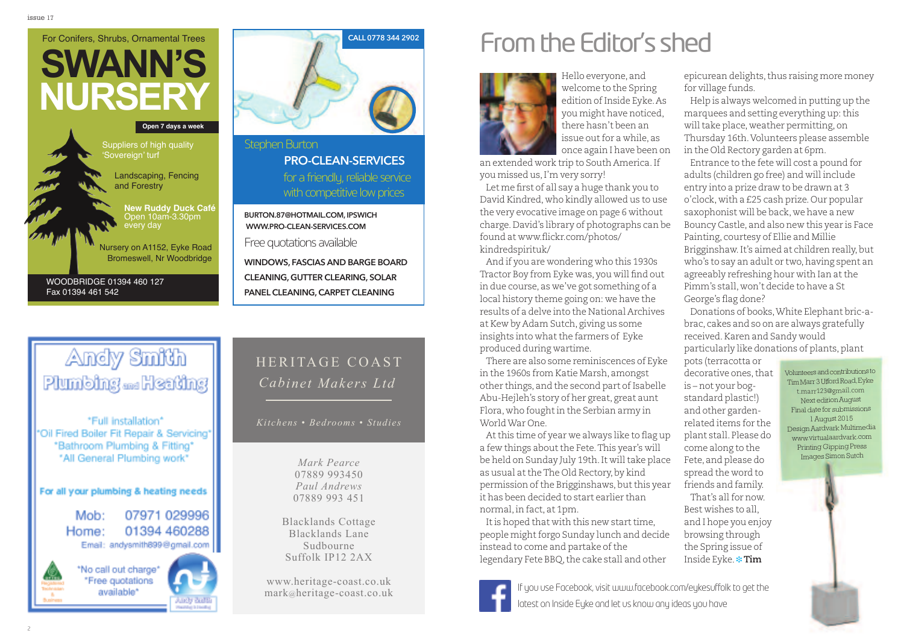### **SWANN'S NURSERY** For Conifers, Shrubs, Ornamental Trees Landscaping, Fencing and Forestry **New Ruddy Duck Café** Open 10am-3.30pm every day Nursery on A1152, Eyke Road Bromeswell, Nr Woodbridge **Open 7 days a week** WOODBRIDGE 01394 460 127 Fax 01394 461 542 Suppliers of high quality 'Sovereign' turf



### Stephen Burton for a friendly, reliable service with competitive low prices **pro-Clean-serviCes**

**Burton.87@hotmail.Com, ipswiCh www.pro-Clean-serviCes.Com**

Free quotations available

**windows, fasCias and Barge Board Cleaning, gutter Clearing, solar panel Cleaning,Carpet Cleaning**

### Andy Smith Plumbing <sub>and</sub> Heating

\*Full\_installation\* \*Oil Fired Boiler Fit Repair & Servicing\* \*Bathroom Plumbing & Fitting\* \*All General Plumbing work\*

#### For all your plumbing & heating needs

07971 029996 Mob: 01394 460288 Home: Email: andysmith899@gmail.com



\*No call out charge\* \*Free quotations available\*

### HERITAGE COAST *Cabinet Makers Ltd*

*Kitchens • Bedrooms • Studies*

*Mark Pearce* 07889 993450 *Paul Andrews* 07889 993 451

Blacklands Cottage Blacklands Lane Sudbourne Suffolk IP12 2AX

www.heritage-coast.co.uk mark@heritage-coast.co.uk

### From the Editor's shed



Hello everyone, and welcome to the Spring edition of Inside Eyke. As you might have noticed, there hasn't been an issue out for a while, as once again I have been on

an extended work trip to South America.If you missed us,I'm very sorry!

Let me first of all say a huge thank you to David Kindred, who kindly allowed us to use the very evocative image on page 6 without charge.David's library of photographs can be found at www.flickr.com/photos/ kindredspirituk/

And if you are wondering who this 1930s Tractor Boy from Eyke was, you will find out in due course, as we've got something of a local history theme going on: we have the results of a delve into the National Archives at Kew by Adam Sutch, giving us some insights into what the farmers of Eyke produced during wartime.

There are also some reminiscences of Eyke in the 1960s from Katie Marsh, amongst other things, and the second part of Isabelle Abu-Hejleh's story of her great, great aunt Flora, who fought in the Serbian army in WorldWar One.

Atthis time of year we always like to flag up a few things about the Fete. This year's will be held on Sunday July 19th. It will take place as usual at the The Old Rectory, by kind permission of the Brigginshaws, but this year it has been decided to start earlier than normal,in fact, at 1pm.

It is hoped that with this new start time, people might forgo Sunday lunch and decide instead to come and partake of the legendary Fete BBQ, the cake stall and other



will take place, weather permitting, on Thursday 16th.Volunteers please assemble in the Old Rectory garden at 6pm.

related items for the plant stall. Please do come along to the Fete, and please do spread the word to friends and family.

That's allfor now. Best wishes to all, and I hope you enjoy browsing through the Spring issue of Inside Eyke. **❉ Tim**

If you use Facebook, visit www.facebook.com/eykesuffolk to get the latest on Inside Eyke and let us know any ideas you have

decorative ones, that Volunteers and contributions to TimMarr3UffordRoad,Eyke t.marr123@gmail.com Next editionAugust Final date for submissions 1August 2015 DesignAardvark Multimedia www.virtualaardvark.com Printing Gipping Press Images Simon Sutch

Entrance to the fete will cost a pound for adults (children go free) and will include entry into a prize draw to be drawn at 3 o'clock, with a £25 cash prize.Our popular saxophonist will be back, we have a new Bouncy Castle, and also new this year is Face

Brigginshaw.It's aimed at children really,but who's to say an adult or two, having spent an agreeably refreshing hour with Ian atthe Pimm's stall, won't decide to have a St

Donations of books,White Elephant bric-abrac, cakes and so on are always gratefully

particularly like donations of plants, plant

Painting, courtesy of Ellie and Millie

received.Karen and Sandy would

George's flag done?

pots (terracotta or

is – not your bogstandard plastic!) and other garden-

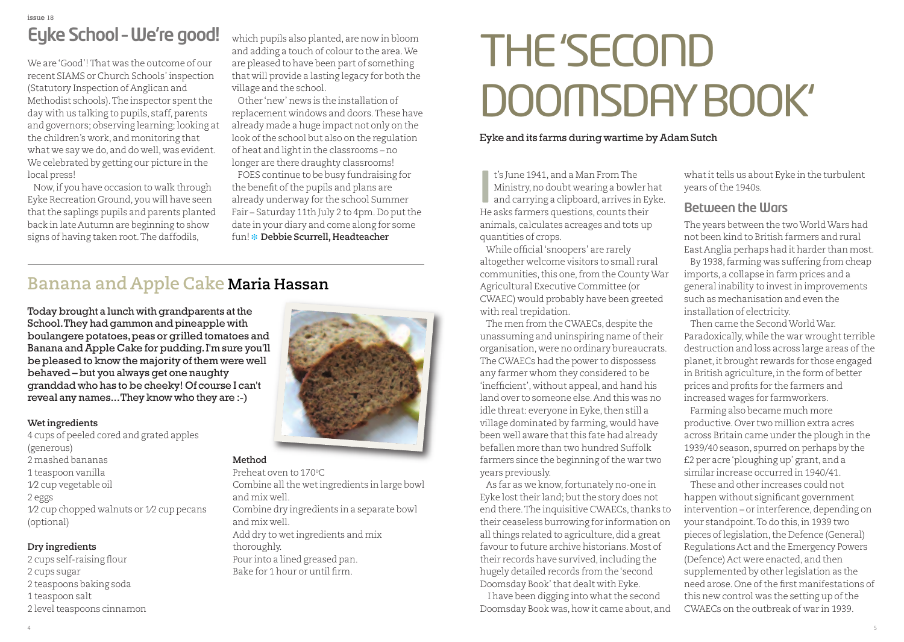We are'Good'!That was the outcome of our recent SIAMS or Church Schools' inspection (Statutory Inspection of Anglican and Methodist schools). The inspector spent the day with us talking to pupils, staff, parents and governors; observing learning; looking at the children's work, and monitoring that what we say we do, and do well, was evident. We celebrated by getting our picture in the local press!

Now,if you have occasion to walk through Eyke Recreation Ground, you will have seen that the saplings pupils and parents planted back in late Autumn are beginning to show signs of having taken root.The daffodils,

which pupils also planted, are now in bloom and adding a touch of colour to the area.We are pleased to have been part of something that will provide a lasting legacy for both the village and the school.

Other 'new' news is the installation of replacement windows and doors.These have already made a huge impact not only on the look of the school but also on the regulation of heat and light in the classrooms – no longer are there draughty classrooms!

FOES continue to be busy fundraising for the benefit of the pupils and plans are already underway for the school Summer Fair – Saturday 11th July 2 to 4pm. Do put the date in your diary and come along for some fun! **❉ Debbie Scurrell, Headteacher**

### **Banana and Apple Cake Maria Hassan**

Today brought a lunch with grandparents at the School.They had gammon and pineapple with boulangere potatoes,peas or grilled tomatoes and Banana andApple Cake for pudding.I'm sure you'll be pleased to know the majority of them were well behaved – but you always get one naughty granddad who has to be cheeky! Of course I can't reveal any names...They know who they are :-)

#### **Wet ingredients**

4 cups of peeled cored and grated apples (generous) 2 mashed bananas 1 teaspoon vanilla 1⁄2 cup vegetable oil 2 eggs 1⁄2 cup chopped walnuts or 1⁄2 cup pecans (optional)

### **Dry ingredients**

 cups self-raising flour cups sugar teaspoons baking soda teaspoon salt 2 level teaspoons cinnamon



### **Method**

Preheat oven to 170°C Combine all the wet ingredients in large bowl and mix well. Combine dry ingredients in a separate bowl and mix well. Add dry to wetingredients and mix thoroughly. Pour into a lined greased pan. Bake for 1 hour or until firm.

## THE'SECOND DOOMSDAY BOOK'

### Eyke and its farms during wartime by Adam Sutch

t's June 1941, and a Man FromThe Ministry,no doubt wearing a bowler hat and carrying a clipboard, arrives in Eyke. He asks farmers questions, counts their animals, calculates acreages and tots up quantities of crops. **I**

While official'snoopers' are rarely altogether welcome visitors to small rural communities,this one,from the CountyWar Agricultural Executive Committee (or CWAEC) would probably have been greeted with real trepidation.

The men from the CWAECs, despite the unassuming and uninspiring name of their organisation, were no ordinary bureaucrats. The CWAECs had the power to dispossess any farmer whom they considered to be 'inefficient', without appeal, and hand his land over to someone else.And this was no idle threat: everyone in Eyke, then still a village dominated by farming, would have been well aware that this fate had already befallen more than two hundred Suffolk farmers since the beginning of the war two years previously.

As far as we know, fortunately no-one in Eyke lost their land; but the story does not end there. The inquisitive CWAECs, thanks to their ceaseless burrowing for information on all things related to agriculture, did a great favour to future archive historians.Most of their records have survived,including the hugely detailed records from the'second Doomsday Book'that dealt with Eyke.

I have been digging into what the second Doomsday Book was, how it came about, and

what it tells us about Eyke in the turbulent years ofthe 1940s.

### **Between the Wars**

The years between the twoWorldWars had not been kind to British farmers and rural East Anglia perhaps had it harder than most.

By 1938,farming was suffering from cheap imports, a collapse in farm prices and a general inability to investin improvements such as mechanisation and even the installation of electricity.

Then came the SecondWorldWar. Paradoxically, while the war wrought terrible destruction and loss across large areas of the planet,it brought rewards for those engaged in British agriculture,in the form of better prices and profits for the farmers and increased wages for farmworkers.

Farming also became much more productive.Over two million extra acres across Britain came under the plough in the 1939/40 season, spurred on perhaps by the £2 per acre'ploughing up' grant, and a similar increase occurred in 1940/41.

These and other increases could not happen without significant government intervention – or interference, depending on your standpoint.To do this,in 1939 two pieces oflegislation,the Defence (General) Regulations Act and the Emergency Powers (Defence) Act were enacted, and then supplemented by other legislation as the need arose. One of the first manifestations of this new control was the setting up of the CWAECs on the outbreak of war in 1939.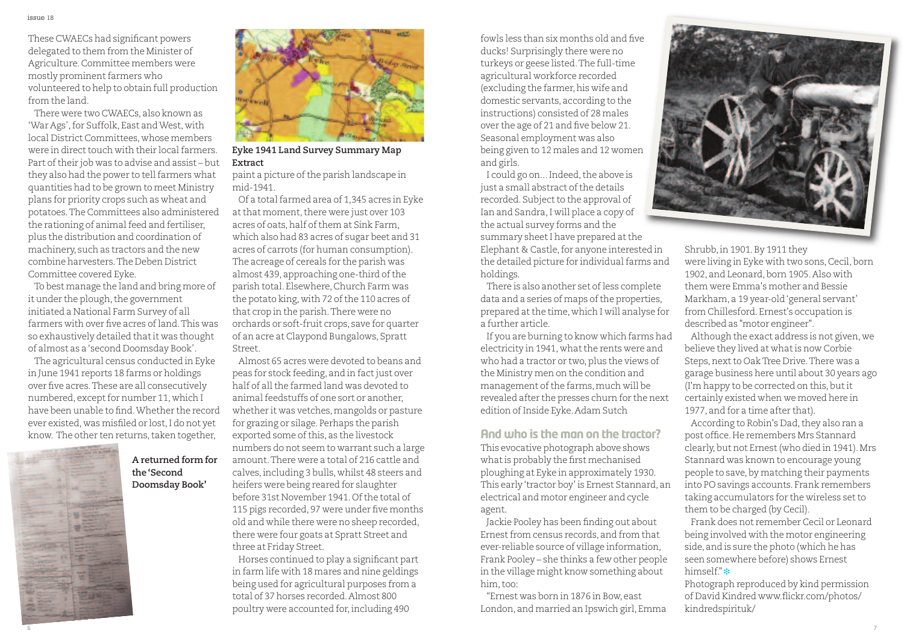These CWAECs had significant powers delegated to them from the Minister of Agriculture.Committee members were mostly prominent farmers who volunteered to help to obtain full production from the land.

There were two CWAECs, also known as 'War Ags',for Suffolk, East andWest, with local District Committees, whose members were in direct touch with their local farmers. Part oftheir job was to advise and assist – but they also had the power to tell farmers what quantities had to be grown to meet Ministry plans for priority crops such as wheat and potatoes.The Committees also administered the rationing of animal feed and fertiliser, plus the distribution and coordination of machinery, such as tractors and the new combine harvesters.The Deben District Committee covered Eyke.

To best manage the land and bring more of it under the plough, the government initiated <sup>a</sup> National Farm Survey of all farmers with over five acres ofland.This was so exhaustively detailed thatit was thought of almost as <sup>a</sup>'second Doomsday Book'.

The agricultural census conducted in Eyke in June <sup>1941</sup> reports <sup>18</sup> farms or holdings over five acres.These are all consecutively numbered, except for number 11, which I have been unable to find.Whether the record ever existed, was misfiled or lost,I do not ye<sup>t</sup> know. The other ten returns, taken together,







### **Eyke 1941 Land Survey Summary Map Extract**

paint a picture of the parish landscape in mid-1941.

Of <sup>a</sup> totalfarmed area of 1,345 acres in Eyke at that moment, there were just over 103 acres of oats, half of them at Sink Farm which also had <sup>83</sup> acres of sugar beet and <sup>31</sup> acres of carrots (for human consumption). The acreage of cereals for the parish was almost 439, approaching one-third of the parish total. Elsewhere,Church Farm was the potato king, with 72 of the 110 acres of that crop in the parish.There were no orchards or soft-fruit crops, save for quarter of an acre at Claypond Bungalows, Spratt Street.

Almost 65 acres were devoted to beans and peas for stock feeding, and in fact just over half of all the farmed land was devoted to animalfeedstuffs of one sort or another, whether it was vetches,mangolds or pasture for grazing or silage. Perhaps the parish exported some of this, as the livestock numbers do not seem to warrant such <sup>a</sup> large amount.There were <sup>a</sup> total of 216 cattle and calves,including <sup>3</sup> bulls, whilst <sup>48</sup> steers and heifers were being reared for slaughter before 31st November 1941.Ofthe total of <sup>115</sup> pigs recorded, <sup>97</sup> were under five months old and while there were no sheep recorded, there were four goats at Spratt Street and three at Friday Street.

Horses continued to play <sup>a</sup> significant par<sup>t</sup> in farm life with <sup>18</sup> mares and nine geldings being used for agricultural purposes from <sup>a</sup> total of 37 horses recorded.Almost 800 poultry were accounted for,including <sup>490</sup>

fowls less than six months old and five ducks! Surprisingly there were no turkeys or geese listed.The full-time agricultural workforce recorded (excluding the farmer, his wife and domestic servants, according to the instructions) consisted of 28 males over the age of 21 and five below 21. Seasonal employment was also being given to 12 males and 12 women and girls.

I could go on... Indeed, the above is just a small abstract of the details recorded. Subject to the approval of Ian and Sandra,I will place a copy of the actual survey forms and the summary sheet I have prepared at the Elephant & Castle, for anyone interested in the detailed picture for individual farms and holdings.

There is also another set of less complete data and a series of maps of the properties, prepared atthe time, which I will analyse for a further article.

If you are burning to know which farms had electricity in 1941, what the rents were and who had a tractor or two, plus the views of the Ministry men on the condition and management of the farms, much will be revealed after the presses churn for the next edition of Inside Eyke. Adam Sutch

**And who is the man on the tractor?** This evocative photograph above shows whatis probably the first mechanised ploughing at Eyke in approximately 1930. This early'tractor boy' is Ernest Stannard, an electrical and motor engineer and cycle agent.

Jackie Pooley has been finding out about Ernest from census records, and from that ever-reliable source of village information, Frank Pooley – she thinks a few other people in the village might know something about him,too:

"Ernest was born in 1876 in Bow, east London, and married an Ipswich girl, Emma



Shrubb,in 1901.By 1911 they were living in Eyke with two sons, Cecil, born 1902, and Leonard, born 1905. Also with them were Emma's mother and Bessie Markham, a 19 year-old'general servant' from Chillesford. Ernest's occupation is described as "motor engineer".

Although the exact address is not given, we believe they lived at what is now Corbie Steps, next to Oak Tree Drive. There was a garage business here until about 30 years ago (I'm happy to be corrected on this, but it certainly existed when we moved here in 1977, and for a time after that).

According to Robin's Dad, they also ran a post office.He remembers Mrs Stannard clearly,but not Ernest(who died in 1941).Mrs Stannard was known to encourage young people to save,by matching their payments into PO savings accounts. Frank remembers taking accumulators for the wireless set to them to be charged (by Cecil).

Frank does not remember Cecil or Leonard being involved with the motor engineering side, and is sure the photo (which he has seen somewhere before) shows Ernest himself." **❉**

Photograph reproduced by kind permission of David Kindred www.flickr.com/photos/ kindredspirituk/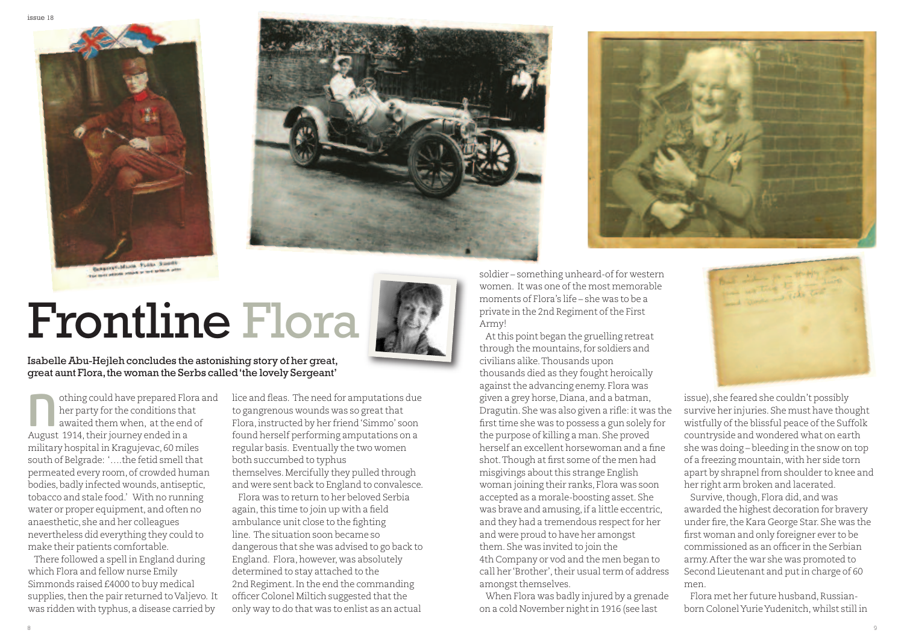



# Frontline Flora



IsabelleAbu-Hejleh concludes the astonishing story of her great, great aunt Flora, the woman the Serbs called 'the lovely Sergeant'

othing could have prepared Flora and her party for the conditions that awaited them when, atthe end of othing could have prepared Florent party for the conditions the awaited them when, at the ended in a space of  $\frac{1}{2}$ military hospital in Kragujevac, 60 miles south of Belgrade: '..., the fetid smell that permeated every room, of crowded human bodies,badly infected wounds, antiseptic, tobacco and stale food.' With no running water or proper equipment, and often no anaesthetic, she and her colleagues nevertheless did everything they could to make their patients comfortable.

There followed a spell in England during which Flora and fellow nurse Emily Simmonds raised £4000 to buy medical supplies, then the pair returned to Valjevo. It was ridden with typhus, a disease carried by

lice and fleas. The need for amputations due to gangrenous wounds was so great that Flora,instructed by her friend'Simmo' soon found herself performing amputations on a regular basis. Eventually the two women both succumbed to typhus themselves.Mercifully they pulled through and were sent back to England to convalesce.

Flora was to return to her beloved Serbia again, this time to join up with a field ambulance unit close to the fighting line. The situation soon became so dangerous that she was advised to go back to England. Flora, however, was absolutely determined to stay attached to the 2nd Regiment.In the end the commanding officer Colonel Miltich suggested that the only way to do that was to enlist as an actual

soldier – something unheard-of for western women. It was one of the most memorable moments of Flora's life – she was to be a private in the 2nd Regiment of the First Army!

Atthis point began the gruelling retreat through the mountains,for soldiers and civilians alike.Thousands upon thousands died as they fought heroically against the advancing enemy. Flora was given a grey horse,Diana, and a batman, Dragutin. She was also given a rifle: it was the first time she was to possess a gun solely for the purpose of killing a man. She proved herself an excellent horsewoman and a fine shot. Though at first some of the men had misgivings about this strange English woman joining their ranks, Flora was soon accepted as a morale-boosting asset. She was brave and amusing,if a little eccentric, and they had a tremendous respect for her and were proud to have her amongst them. She was invited to join the 4th Company or vod and the men began to call her 'Brother', their usual term of address amongst themselves.

When Flora was badly injured by a grenade on a cold November night in 1916 (see last



issue), she feared she couldn't possibly survive her injuries. She must have thought wistfully of the blissful peace of the Suffolk countryside and wondered what on earth she was doing – bleeding in the snow on top of a freezing mountain, with her side torn apart by shrapnel from shoulder to knee and her right arm broken and lacerated.

Survive, though, Flora did, and was awarded the highest decoration for bravery under fire, the Kara George Star. She was the first woman and only foreigner ever to be commissioned as an officer in the Serbian army.After the war she was promoted to Second Lieutenant and putin charge of 60 men.

Flora met her future husband, Russianborn ColonelYurieYudenitch, whilst still in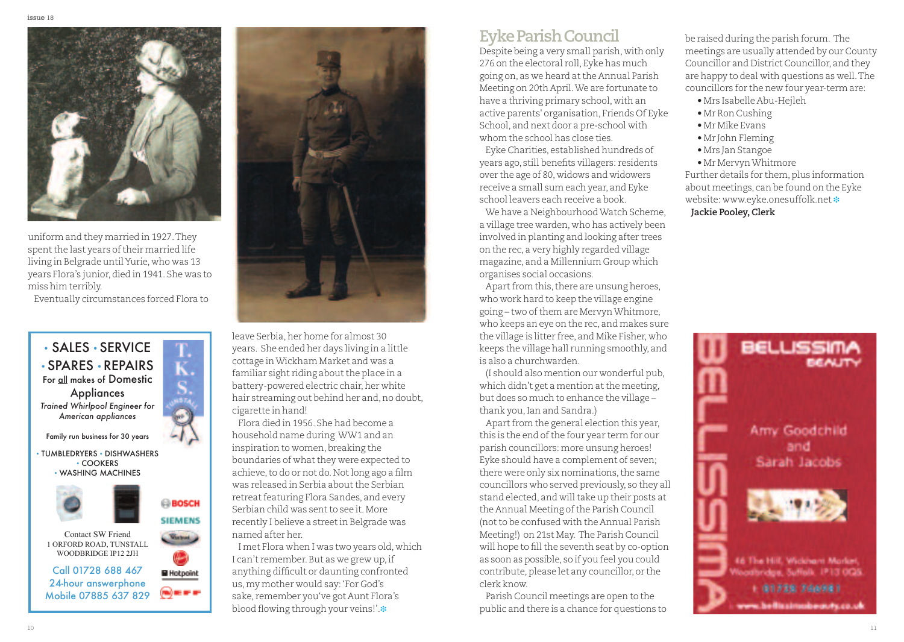

uniform and they married in 1927.They spent the last years of their married life living in Belgrade untilYurie, who was 13 years Flora's junior,died in 1941. She was to miss him terribly.

Eventually circumstances forced Flora to



 $\overline{C}$ 

**BOSCH SIEMENS**  $C$  where  $C$ 

• TUMBLEDRYERS • DISHWASHERS • COOKERS • WASHING MACHINES





1 ORFORd ROAd, TunSTALL WOODBRIDGE IP12 2JH

Call 01728 688 467 **El Hotpoint** 24-hour answerphone (m) or or or Mobile 07885 637 829



leave Serbia, her home for almost 30 years. She ended her days living in a little cottage inWickham Market and was a familiar sight riding about the place in a battery-powered electric chair, her white hair streaming out behind her and, no doubt, cigarette in hand!

Flora died in 1956. She had become a household name during WW1 and an inspiration to women, breaking the boundaries of what they were expected to achieve,to do or not do.Notlong ago a film was released in Serbia about the Serbian retreat featuring Flora Sandes, and every Serbian child was sent to see it. More recently I believe a street in Belgrade was named after her.

I met Flora when I was two years old, which I can't remember. But as we grew up, if anything difficult or daunting confronted us,my mother would say:'For God's sake, remember you've got Aunt Flora's blood flowing through your veins!'.**❉**

### **EykeParishCouncil**

Despite being a very small parish, with only 276 on the electoral roll, Eyke has much going on, as we heard atthe Annual Parish Meeting on 20th April.We are fortunate to have a thriving primary school, with an active parents' organisation, Friends Of Eyke School, and next door a pre-school with whom the school has close ties.

Eyke Charities, established hundreds of years ago, still benefits villagers: residents over the age of 80, widows and widowers receive a small sum each year, and Eyke school leavers each receive a book.

We have a NeighbourhoodWatch Scheme, a village tree warden, who has actively been involved in planting and looking after trees on the rec, a very highly regarded village magazine, and a Millennium Group which organises social occasions.

Apart from this, there are unsung heroes, who work hard to keep the village engine going – two of them are Mervyn Whitmore, who keeps an eye on the rec, and makes sure the village is litter free, and Mike Fisher, who keeps the village hall running smoothly, and is also a churchwarden.

(I should also mention our wonderful pub, which didn't get a mention at the meeting, but does so much to enhance the village – thank you, Ian and Sandra.)

Apart from the general election this year, this is the end of the four year term for our parish councillors: more unsung heroes! Eyke should have a complement of seven; there were only six nominations, the same councillors who served previously, so they all stand elected, and will take up their posts at the Annual Meeting of the Parish Council (not to be confused with the Annual Parish Meeting!) on 21st May. The Parish Council will hope to fill the seventh seat by co-option as soon as possible, so if you feel you could contribute, please let any councillor, or the clerk know.

Parish Council meetings are open to the public and there is a chance for questions to

be raised during the parish forum. The meetings are usually attended by our County Councillor and District Councillor, and they are happy to deal with questions as well.The councillors for the new four year-term are:

- Mrs Isabelle Abu-Hejleh
- Mr Ron Cushing
- Mr Mike Evans
- Mr John Fleming
- Mrs Jan Stangoe
- Mr MervynWhitmore

Further details for them, plus information about meetings, can be found on the Eyke website: www.eyke.onesuffolk.net **❉ Jackie Pooley,Clerk**

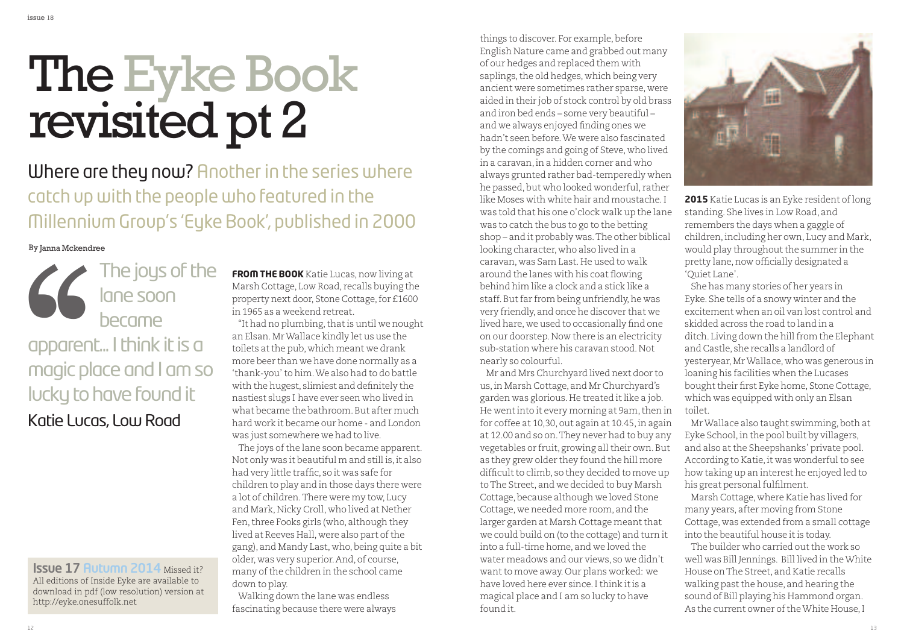# The Eyke Book revisited pt 2

**Where are they now?** Another in the series where catch up with the people who featured in the Millennium Group's 'Eyke Book', published in 2000

#### By Janna Mckendree

The joys of the lane soon became apparent... I think it is a magic place and I am so lucky to have found it Katie Lucas, Low Road **CONTROVERSITY**<br> **CONTROVERSITY**<br> **CONTROVERSITY**<br> **CONTROVERSITY**<br> **CONTROVERSITY**<br> **CONTROVERSITY** 

**Issue 17 Autumn 2014** Missed it? All editions of Inside Eyke are available to download in pdf (low resolution) version at http://eyke.onesuffolk.net

**FROM THE BOOK** Katie Lucas,now living at Marsh Cottage, Low Road, recalls buying the property next door, Stone Cottage, for £1600 in 1965 as a weekend retreat.

"It had no plumbing,thatis until we nought an Elsan.MrWallace kindly let us use the toilets atthe pub, which meant we drank more beer than we have done normally as a 'thank-you'to him.We also had to do battle with the hugest, slimiest and definitely the nastiest slugs I have ever seen who lived in what became the bathroom.But after much hard work it became our home - and London was just somewhere we had to live.

The joys of the lane soon became apparent. Not only was it beautiful m and still is,it also had very little traffic, so it was safe for children to play and in those days there were a lot of children.There were my tow, Lucy and Mark, Nicky Croll, who lived at Nether Fen, three Fooks girls (who, although they lived at Reeves Hall, were also part of the gang), and Mandy Last, who,being quite a bit older, was very superior.And, of course, many of the children in the school came down to play.

Walking down the lane was endless fascinating because there were always things to discover. For example, before English Nature came and grabbed out many of our hedges and replaced them with saplings, the old hedges, which being very ancient were sometimes rather sparse, were aided in their job of stock control by old brass and iron bed ends – some very beautiful – and we always enjoyed finding ones we hadn't seen before.We were also fascinated by the comings and going of Steve, who lived in a caravan,in a hidden corner and who always grunted rather bad-temperedly when he passed, but who looked wonderful, rather like Moses with white hair and moustache.I was told that his one o'clock walk up the lane was to catch the bus to go to the betting shop – and it probably was.The other biblical looking character, who also lived in a caravan, was Sam Last.He used to walk around the lanes with his coat flowing behind him like a clock and a stick like a staff. But far from being unfriendly, he was very friendly, and once he discover that we lived hare, we used to occasionally find one on our doorstep.Now there is an electricity sub-station where his caravan stood.Not nearly so colourful.

Mr and Mrs Churchyard lived next door to us,in Marsh Cottage, and Mr Churchyard's garden was glorious. He treated it like a job. He went into it every morning at 9am, then in for coffee at 10,30, out again at 10.45,in again at 12.00 and so on.They never had to buy any vegetables or fruit, growing all their own. But as they grew older they found the hill more difficult to climb, so they decided to move up toThe Street, and we decided to buy Marsh Cottage, because although we loved Stone Cottage, we needed more room, and the larger garden at Marsh Cottage meant that we could build on (to the cottage) and turn it into a full-time home, and we loved the water meadows and our views, so we didn't want to move away. Our plans worked: we have loved here ever since. I think it is a magical place and I am so lucky to have found it.



**2015** Katie Lucas is an Eyke resident of long standing. She lives in Low Road, and remembers the days when a gaggle of children,including her own, Lucy and Mark, would play throughout the summer in the pretty lane, now officially designated a 'Quiet Lane'.

She has many stories of her years in Eyke. She tells of a snowy winter and the excitement when an oil van lost control and skidded across the road to land in a ditch. Living down the hill from the Elephant and Castle, she recalls a landlord of yesteryear,MrWallace, who was generous in loaning his facilities when the Lucases bought their first Eyke home, Stone Cottage, which was equipped with only an Elsan toilet.

Mr Wallace also taught swimming, both at Eyke School,in the pool built by villagers, and also atthe Sheepshanks' private pool. According to Katie, it was wonderful to see how taking up an interest he enjoyed led to his great personal fulfilment.

Marsh Cottage, where Katie has lived for many years, after moving from Stone Cottage, was extended from a small cottage into the beautiful house it is today.

The builder who carried out the work so well was Bill Jennings. Bill lived in theWhite House onThe Street, and Katie recalls walking past the house, and hearing the sound of Bill playing his Hammond organ. As the current owner of the White House, I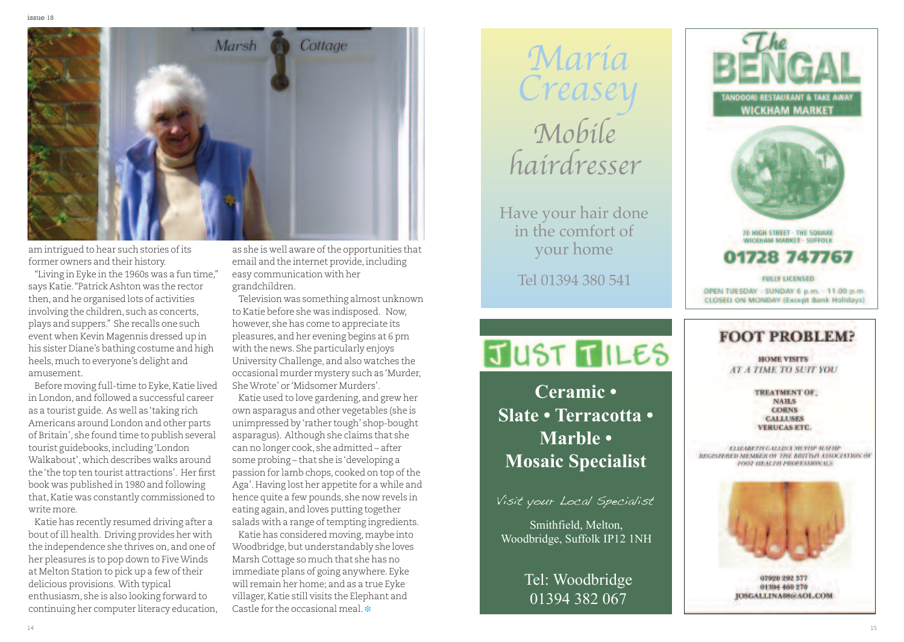

am intrigued to hear such stories of its former owners and their history.

"Living in Eyke in the 1960s was a fun time," says Katie. "Patrick Ashton was the rector then, and he organised lots of activities involving the children, such as concerts, plays and suppers." She recalls one such event when Kevin Magennis dressed up in his sister Diane's bathing costume and high heels, much to everyone's delight and amusement.

Before moving full-time to Eyke, Katie lived in London, and followed a successful career as a tourist guide. As well as 'taking rich Americans around London and other parts of Britain', she found time to publish several tourist guidebooks, including 'London Walkabout', which describes walks around the 'the top ten tourist attractions'. Her first book was published in 1980 and following that, Katie was constantly commissioned to write more.

Katie has recently resumed driving after a bout of ill health. Driving provides her with the independence she thrives on, and one of her pleasures is to pop down to Five Winds at Melton Station to pick up a few of their delicious provisions. With typical enthusiasm, she is also looking forward to continuing her computer literacy education, as she is well aware of the opportunities that email and the internet provide, including easy communication with her grandchildren.

Television was something almost unknown to Katie before she was indisposed. Now, however, she has come to appreciate its pleasures, and her evening begins at 6 pm with the news. She particularly enjoys University Challenge, and also watches the occasional murder mystery such as 'Murder, She Wrote' or 'Midsomer Murders'.

Katie used to love gardening, and grew her own asparagus and other vegetables (she is unimpressed by 'rather tough' shop-bought asparagus). Although she claims that she can no longer cook, she admitted – after some probing – that she is 'developing a passion for lamb chops, cooked on top of the Aga'. Having lost her appetite for a while and hence quite a few pounds, she now revels in eating again, and loves putting together salads with a range of tempting ingredients.

Katie has considered moving, maybe into Woodbridge, but understandably she loves Marsh Cottage so much that she has no immediate plans of going anywhere. Eyke will remain her home; and as a true Eyke villager, Katie still visits the Elephant and Castle for the occasional meal. \*

María Creasey M o b i le haírdresser

Have your hair done in the comfort of your home

Tel 01394 380 541

## **TUST TILES**

Mosaic Specialist Mosaic Specialist **C e r a m i c •** Slate • Terracotta • **M a r b l e •**

Visit your Local Specialist

Smithfield, Melton, Woodbridge, Suffolk IP12 1NH

> Tel: Woodbridge 01394 382 067



### **FOOT PROBLEM?**

**HOME VISITS AT A TIME TO SUIT YOU** 

> **TREATMENT OF: NAILS** CORNS **CALLUSES VERENSAS ETG**

ELIZABETH GALLINA MERUP SCIENCE MICROSTOPHED MEMBER OF THE BISTICH ASSOCIATION OF FOOT BEAUTH PROFESSIONALS.



020961909 877 01394 465 270 **JOSGALLINA08@AOLCOM**